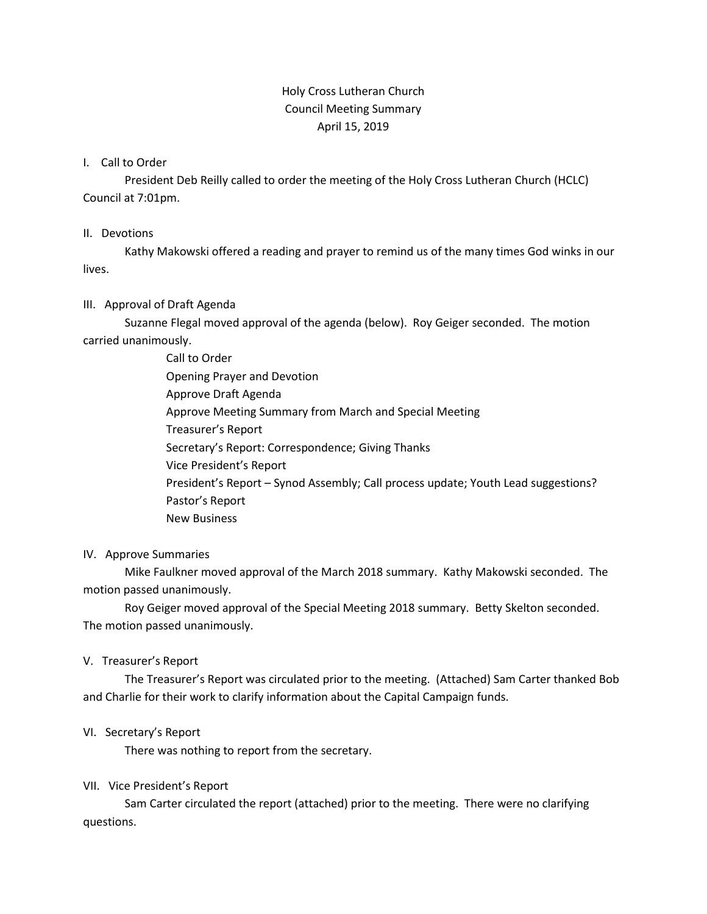# Holy Cross Lutheran Church Council Meeting Summary April 15, 2019

#### I. Call to Order

President Deb Reilly called to order the meeting of the Holy Cross Lutheran Church (HCLC) Council at 7:01pm.

#### II. Devotions

Kathy Makowski offered a reading and prayer to remind us of the many times God winks in our lives.

### III. Approval of Draft Agenda

Suzanne Flegal moved approval of the agenda (below). Roy Geiger seconded. The motion carried unanimously.

> Call to Order Opening Prayer and Devotion Approve Draft Agenda Approve Meeting Summary from March and Special Meeting Treasurer's Report Secretary's Report: Correspondence; Giving Thanks Vice President's Report President's Report – Synod Assembly; Call process update; Youth Lead suggestions? Pastor's Report New Business

#### IV. Approve Summaries

Mike Faulkner moved approval of the March 2018 summary. Kathy Makowski seconded. The motion passed unanimously.

Roy Geiger moved approval of the Special Meeting 2018 summary. Betty Skelton seconded. The motion passed unanimously.

### V. Treasurer's Report

The Treasurer's Report was circulated prior to the meeting. (Attached) Sam Carter thanked Bob and Charlie for their work to clarify information about the Capital Campaign funds.

### VI. Secretary's Report

There was nothing to report from the secretary.

### VII. Vice President's Report

Sam Carter circulated the report (attached) prior to the meeting. There were no clarifying questions.